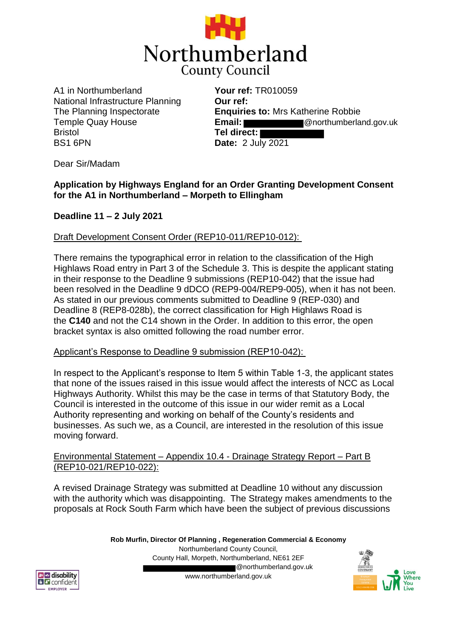

A1 in Northumberland National Infrastructure Planning The Planning Inspectorate Temple Quay House Bristol BS1 6PN

**Your ref:** TR010059 **Our ref: Enquiries to:** Mrs Katherine Robbie **Email:** @northumberland.gov.uk **Tel direct: Date:** 2 July 2021

Dear Sir/Madam

## **Application by Highways England for an Order Granting Development Consent for the A1 in Northumberland – Morpeth to Ellingham**

## **Deadline 11 – 2 July 2021**

Draft Development Consent Order (REP10-011/REP10-012):

There remains the typographical error in relation to the classification of the High Highlaws Road entry in Part 3 of the Schedule 3. This is despite the applicant stating in their response to the Deadline 9 submissions (REP10-042) that the issue had been resolved in the Deadline 9 dDCO (REP9-004/REP9-005), when it has not been. As stated in our previous comments submitted to Deadline 9 (REP-030) and Deadline 8 (REP8-028b), the correct classification for High Highlaws Road is the **C140** and not the C14 shown in the Order. In addition to this error, the open bracket syntax is also omitted following the road number error.

## Applicant's Response to Deadline 9 submission (REP10-042):

In respect to the Applicant's response to Item 5 within Table 1-3, the applicant states that none of the issues raised in this issue would affect the interests of NCC as Local Highways Authority. Whilst this may be the case in terms of that Statutory Body, the Council is interested in the outcome of this issue in our wider remit as a Local Authority representing and working on behalf of the County's residents and businesses. As such we, as a Council, are interested in the resolution of this issue moving forward.

## Environmental Statement – Appendix 10.4 - Drainage Strategy Report – Part B (REP10-021/REP10-022):

A revised Drainage Strategy was submitted at Deadline 10 without any discussion with the authority which was disappointing. The Strategy makes amendments to the proposals at Rock South Farm which have been the subject of previous discussions

> **Rob Murfin, Director Of Planning , Regeneration Commercial & Economy** Northumberland County Council, County Hall, Morpeth, Northumberland, NE61 2EF @northumberland.gov.uk www.northumberland.gov.uk